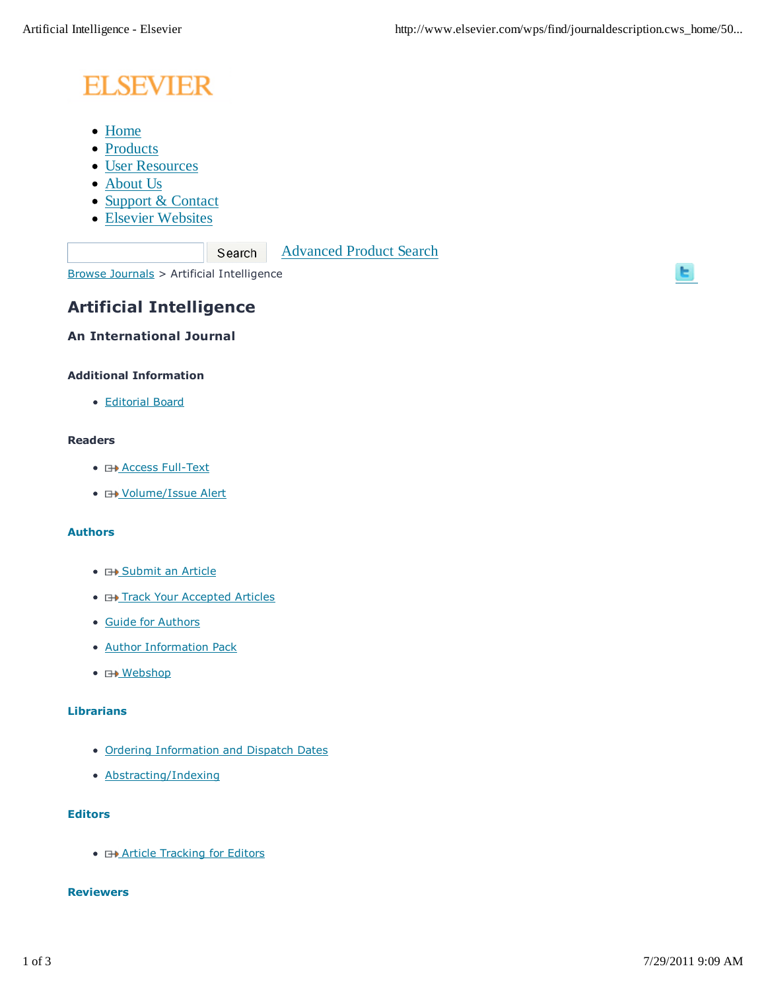# **ELSEVIER**

- Home
- Products
- User Resources
- About Us
- Support & Contact
- Elsevier Websites

Advanced Product Search

Browse Journals > Artificial Intelligence

Search

# **Artificial Intelligence**

# **An International Journal**

## **Additional Information**

Editorial Board

# **Readers**

- **E+ Access Full-Text**
- **E+ Volume/Issue Alert**

#### **Authors**

- **E+ Submit an Article**
- **E+ Track Your Accepted Articles**
- Guide for Authors
- Author Information Pack
- **H**Mebshop

#### **Librarians**

- Ordering Information and Dispatch Dates
- Abstracting/Indexing

#### **Editors**

**• Example Tracking for Editors** 

#### **Reviewers**

ы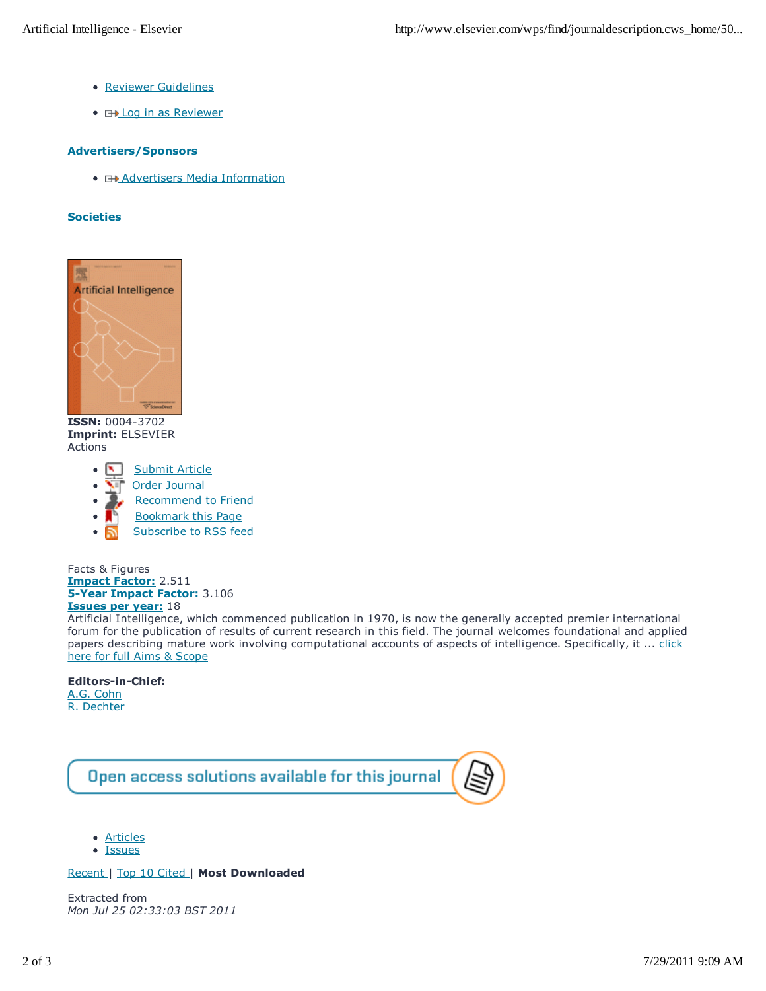- Reviewer Guidelines
- **EXALLOG in as Reviewer**

#### **Advertisers/Sponsors**

**• E+ Advertisers Media Information** 

#### **Societies**



**ISSN:** 0004-3702 **Imprint:** ELSEVIER Actions

- Submit Article
- Order Journal
- Recommend to Friend  $\bullet$
- Bookmark this Page  $\bullet$
- Subscribe to RSS feed

Facts & Figures **Impact Factor:** 2.511 **5-Year Impact Factor:** 3.106 **Issues per year:** 18

Artificial Intelligence, which commenced publication in 1970, is now the generally accepted premier international forum for the publication of results of current research in this field. The journal welcomes foundational and applied papers describing mature work involving computational accounts of aspects of intelligence. Specifically, it ... click here for full Aims & Scope

### **Editors-in-Chief:**

A.G. Cohn R. Dechter



- Articles
- Issues

#### Recent | Top 10 Cited | **Most Downloaded**

Extracted from *Mon Jul 25 02:33:03 BST 2011*